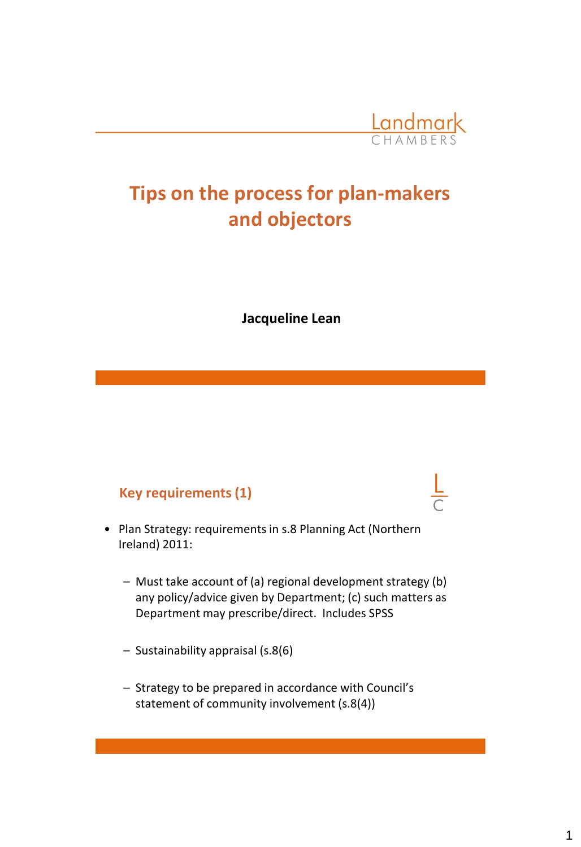

# **Tips on the process for plan-makers and objectors**

**Jacqueline Lean**

## **Key requirements (1)**

- Plan Strategy: requirements in s.8 Planning Act (Northern Ireland) 2011:
	- Must take account of (a) regional development strategy (b) any policy/advice given by Department; (c) such matters as Department may prescribe/direct. Includes SPSS
	- Sustainability appraisal (s.8(6)
	- Strategy to be prepared in accordance with Council's statement of community involvement (s.8(4))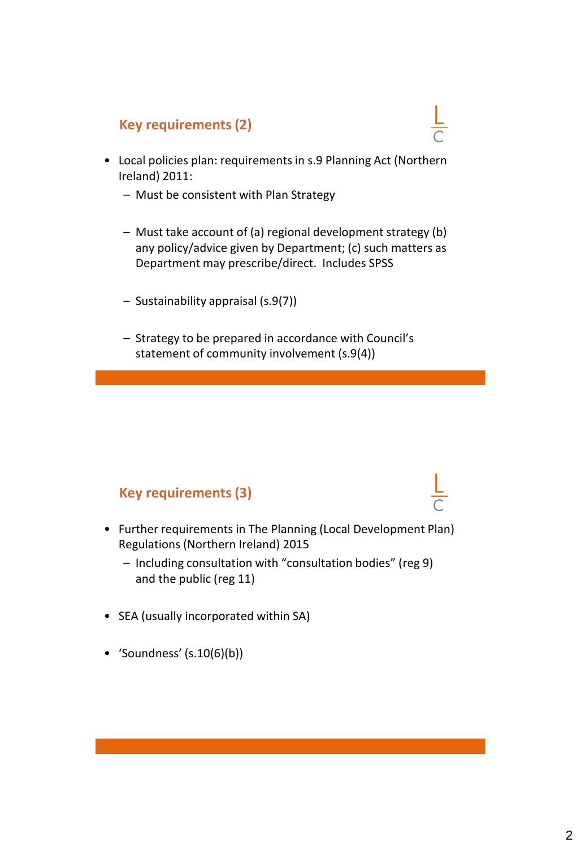## **Key requirements (2)**

- Local policies plan: requirements in s.9 Planning Act (Northern Ireland) 2011:
	- Must be consistent with Plan Strategy
	- Must take account of (a) regional development strategy (b) any policy/advice given by Department; (c) such matters as Department may prescribe/direct. Includes SPSS
	- Sustainability appraisal (s.9(7))
	- Strategy to be prepared in accordance with Council's statement of community involvement (s.9(4))

## **Key requirements (3)**

- Further requirements in The Planning (Local Development Plan) Regulations (Northern Ireland) 2015
	- Including consultation with "consultation bodies" (reg 9) and the public (reg 11)
- SEA (usually incorporated within SA)
- 'Soundness'  $(s.10(6)(b))$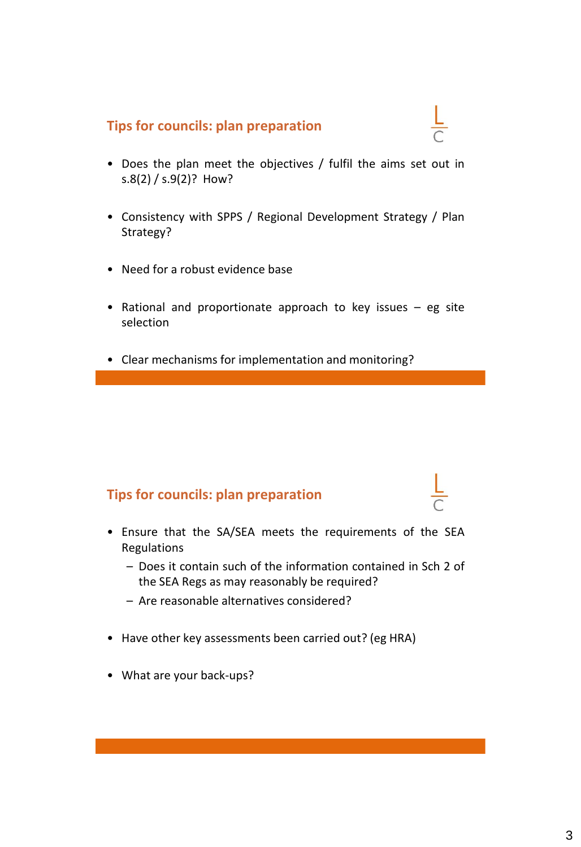## **Tips for councils: plan preparation**

- Does the plan meet the objectives / fulfil the aims set out in s.8(2) / s.9(2)? How?
- Consistency with SPPS / Regional Development Strategy / Plan Strategy?
- Need for a robust evidence base
- Rational and proportionate approach to key issues eg site selection
- Clear mechanisms for implementation and monitoring?

## **Tips for councils: plan preparation**

- Ensure that the SA/SEA meets the requirements of the SEA Regulations
	- Does it contain such of the information contained in Sch 2 of the SEA Regs as may reasonably be required?
	- Are reasonable alternatives considered?
- Have other key assessments been carried out? (eg HRA)
- What are your back-ups?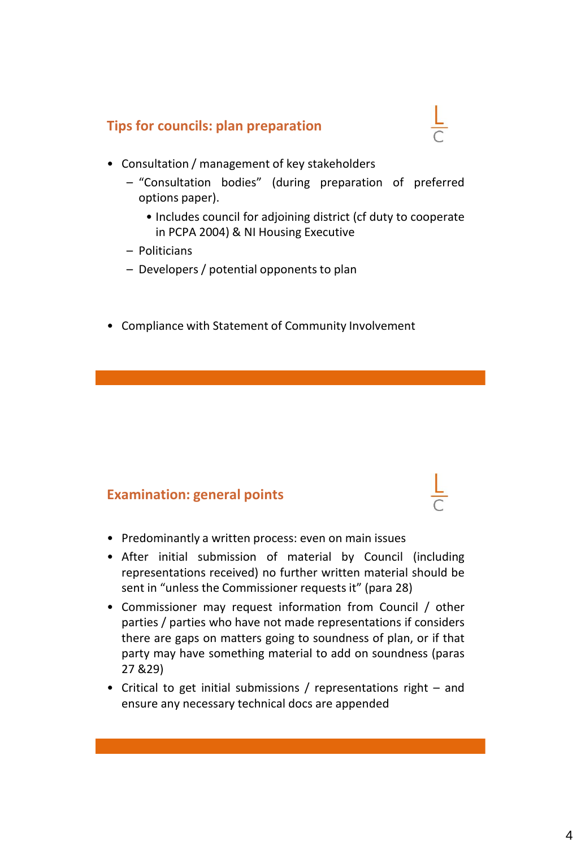## **Tips for councils: plan preparation**

- 
- Consultation / management of key stakeholders
	- "Consultation bodies" (during preparation of preferred options paper).
		- Includes council for adjoining district (cf duty to cooperate in PCPA 2004) & NI Housing Executive
	- Politicians
	- $-$  Developers / potential opponents to plan
- Compliance with Statement of Community Involvement

## **Examination: general points**

- Predominantly a written process: even on main issues
- After initial submission of material by Council (including representations received) no further written material should be sent in "unless the Commissioner requests it" (para 28)
- Commissioner may request information from Council / other parties / parties who have not made representations if considers there are gaps on matters going to soundness of plan, or if that party may have something material to add on soundness (paras 27 &29)
- Critical to get initial submissions / representations right and ensure any necessary technical docs are appended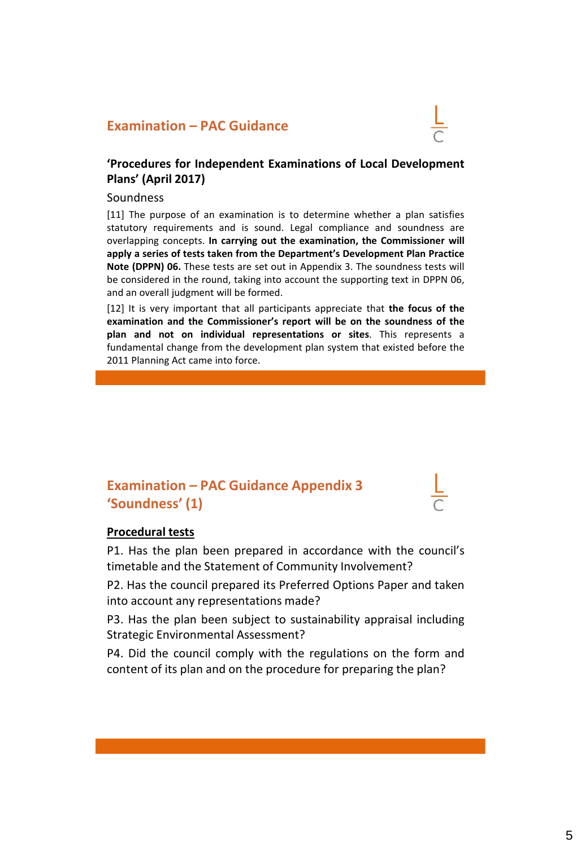## **Examination – PAC Guidance**

#### **'Procedures for Independent Examinations of Local Development Plans' (April 2017)**

#### Soundness

[11] The purpose of an examination is to determine whether a plan satisfies statutory requirements and is sound. Legal compliance and soundness are overlapping concepts. **In carrying out the examination, the Commissioner will apply a series of tests taken from the Department's Development Plan Practice Note (DPPN) 06.** These tests are set out in Appendix 3. The soundness tests will be considered in the round, taking into account the supporting text in DPPN 06, and an overall judgment will be formed.

[12] It is very important that all participants appreciate that **the focus of the examination and the Commissioner's report will be on the soundness of the plan and not on individual representations or sites**. This represents a fundamental change from the development plan system that existed before the 2011 Planning Act came into force.

## **Examination – PAC Guidance Appendix 3 'Soundness' (1)**

#### **Procedural tests**

P1. Has the plan been prepared in accordance with the council's timetable and the Statement of Community Involvement?

P2. Has the council prepared its Preferred Options Paper and taken into account any representations made?

P3. Has the plan been subject to sustainability appraisal including Strategic Environmental Assessment?

P4. Did the council comply with the regulations on the form and content of its plan and on the procedure for preparing the plan?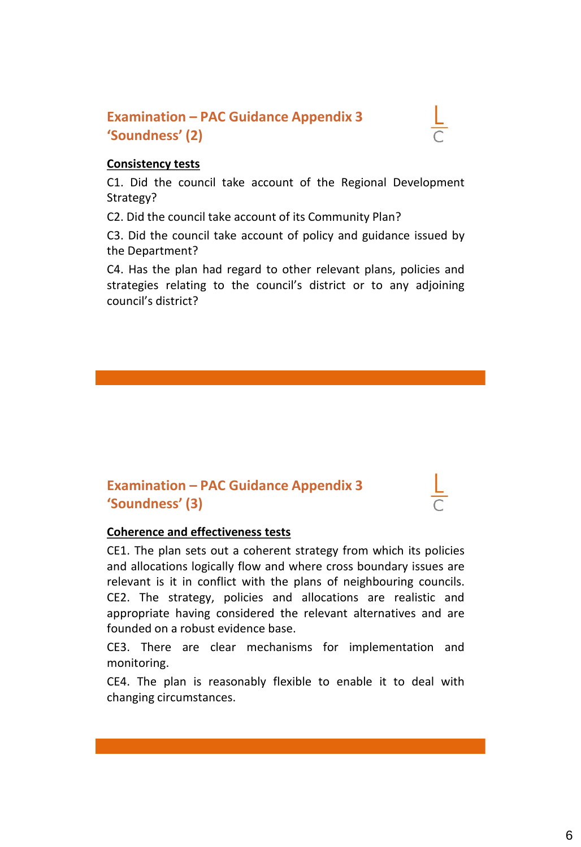## **Examination – PAC Guidance Appendix 3 'Soundness' (2)**

### **Consistency tests**

C1. Did the council take account of the Regional Development Strategy?

C2. Did the council take account of its Community Plan?

C3. Did the council take account of policy and guidance issued by the Department?

C4. Has the plan had regard to other relevant plans, policies and strategies relating to the council's district or to any adjoining council's district?

## **Examination – PAC Guidance Appendix 3 'Soundness' (3)**

### **Coherence and effectiveness tests**

CE1. The plan sets out a coherent strategy from which its policies and allocations logically flow and where cross boundary issues are relevant is it in conflict with the plans of neighbouring councils. CE2. The strategy, policies and allocations are realistic and appropriate having considered the relevant alternatives and are founded on a robust evidence base.

CE3. There are clear mechanisms for implementation and monitoring.

CE4. The plan is reasonably flexible to enable it to deal with changing circumstances.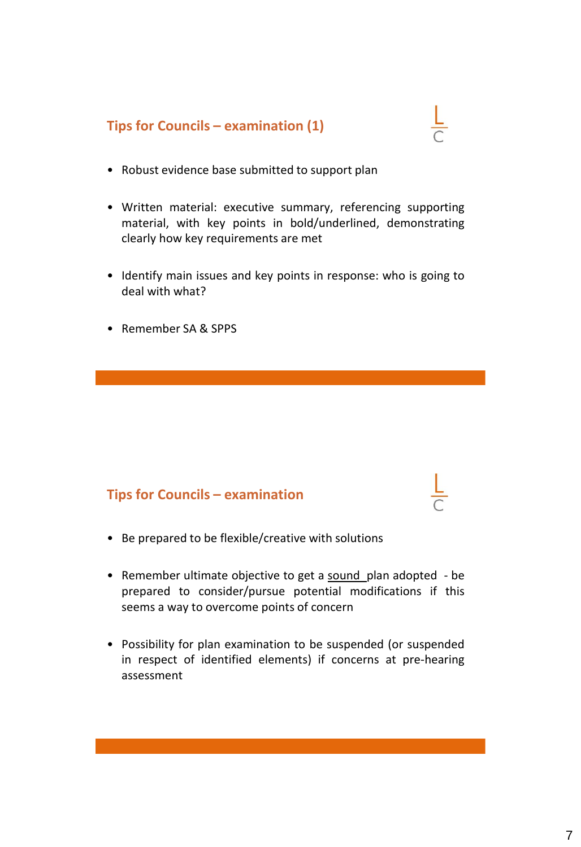

- Robust evidence base submitted to support plan
- Written material: executive summary, referencing supporting material, with key points in bold/underlined, demonstrating clearly how key requirements are met
- Identify main issues and key points in response: who is going to deal with what?
- Remember SA & SPPS

## **Tips for Councils – examination**

- Be prepared to be flexible/creative with solutions
- Remember ultimate objective to get a sound plan adopted be prepared to consider/pursue potential modifications if this seems a way to overcome points of concern
- Possibility for plan examination to be suspended (or suspended in respect of identified elements) if concerns at pre-hearing assessment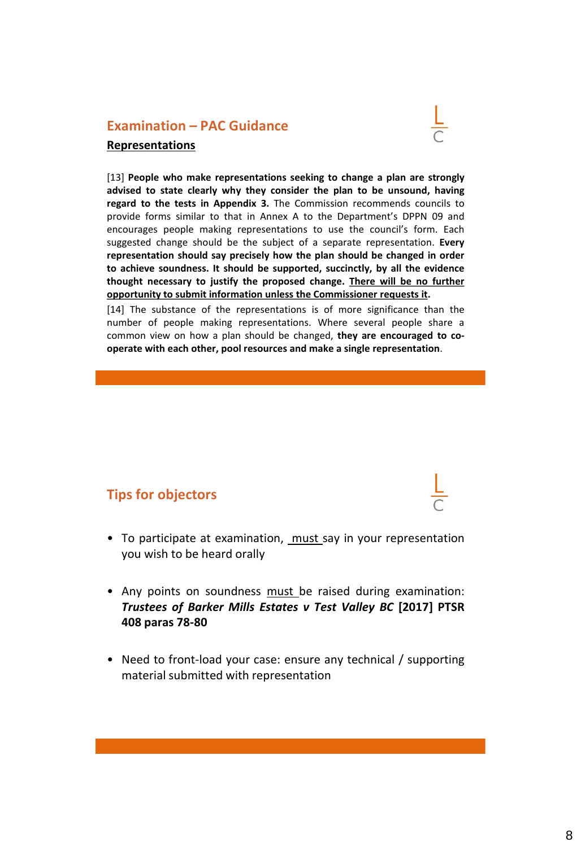## **Examination – PAC Guidance Representations**

[13] **People who make representations seeking to change a plan are strongly advised to state clearly why they consider the plan to be unsound, having regard to the tests in Appendix 3.** The Commission recommends councils to provide forms similar to that in Annex A to the Department's DPPN 09 and encourages people making representations to use the council's form. Each suggested change should be the subject of a separate representation. **Every representation should say precisely how the plan should be changed in order to achieve soundness. It should be supported, succinctly, by all the evidence thought necessary to justify the proposed change. There will be no further opportunity to submit information unless the Commissioner requests it.**

[14] The substance of the representations is of more significance than the number of people making representations. Where several people share a common view on how a plan should be changed, **they are encouraged to cooperate with each other, pool resources and make a single representation**.

## **Tips for objectors**

- To participate at examination, must say in your representation you wish to be heard orally
- Any points on soundness must be raised during examination: *Trustees of Barker Mills Estates v Test Valley BC* **[2017] PTSR 408 paras 78-80**
- Need to front-load your case: ensure any technical / supporting material submitted with representation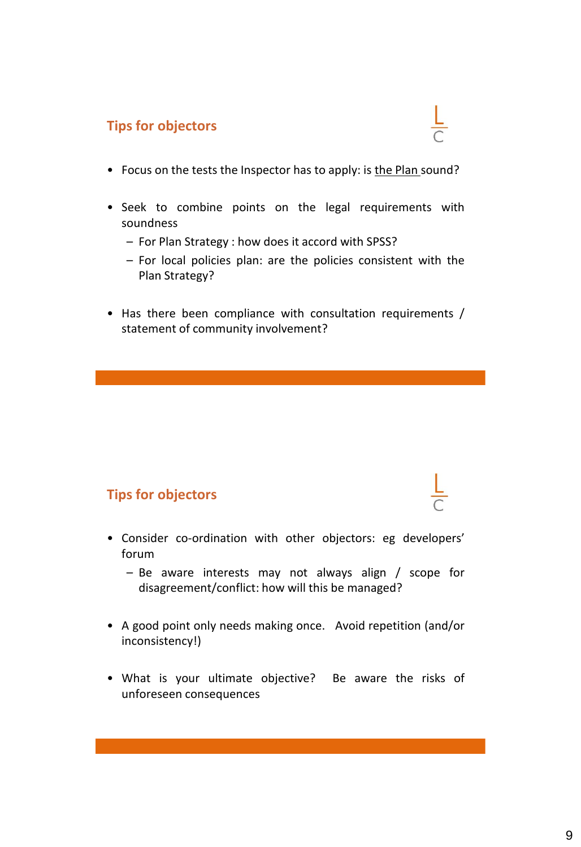## **Tips for objectors**

- Focus on the tests the Inspector has to apply: is the Plan sound?
- Seek to combine points on the legal requirements with soundness
	- For Plan Strategy : how does it accord with SPSS?
	- For local policies plan: are the policies consistent with the Plan Strategy?
- Has there been compliance with consultation requirements / statement of community involvement?

## **Tips for objectors**

- Consider co-ordination with other objectors: eg developers' forum
	- Be aware interests may not always align / scope for disagreement/conflict: how will this be managed?
- A good point only needs making once. Avoid repetition (and/or inconsistency!)
- What is your ultimate objective? Be aware the risks of unforeseen consequences